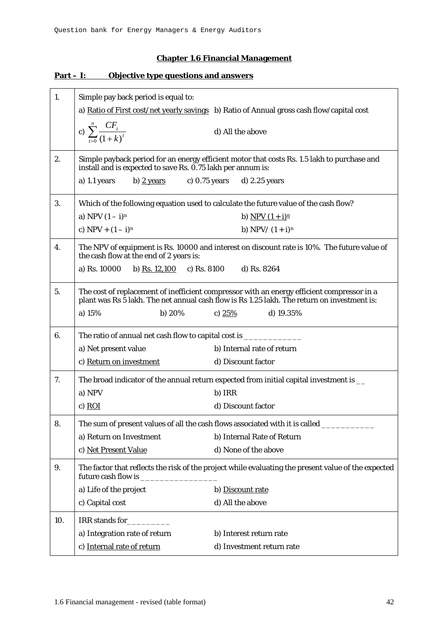## **Chapter 1.6 Financial Management**

| 1.  | Simple pay back period is equal to:                                                                                                                                                       |  |
|-----|-------------------------------------------------------------------------------------------------------------------------------------------------------------------------------------------|--|
|     | a) Ratio of First cost/net yearly savings b) Ratio of Annual gross cash flow/capital cost                                                                                                 |  |
|     | c) $\sum_{t=0}^{n} \frac{CF_{t}}{(1+k)^{t}}$<br>d) All the above                                                                                                                          |  |
| 2.  | Simple payback period for an energy efficient motor that costs Rs. 1.5 lakh to purchase and<br>install and is expected to save Rs. 0.75 lakh per annum is:                                |  |
|     | b) $\frac{2 \text{ years}}{2 \text{ years}}$ c) 0.75 years d) 2.25 years<br>a) $1.1$ years                                                                                                |  |
| 3.  | Which of the following equation used to calculate the future value of the cash flow?                                                                                                      |  |
|     | a) NPV $(1 - i)^n$<br>b) NPV $(1 + i)^n$                                                                                                                                                  |  |
|     | c) $NPV + (1 - i)^n$<br>b) NPV/ $(1 + i)^n$                                                                                                                                               |  |
| 4.  | The NPV of equipment is Rs. 10000 and interest on discount rate is 10%. The future value of<br>the cash flow at the end of 2 years is:                                                    |  |
|     | b) Rs. $12,100$ c) Rs. 8100<br>d) Rs. 8264<br>a) Rs. 10000                                                                                                                                |  |
| 5.  | The cost of replacement of inefficient compressor with an energy efficient compressor in a<br>plant was Rs 5 lakh. The net annual cash flow is Rs 1.25 lakh. The return on investment is: |  |
|     | a) 15%<br>b) $20%$<br>c) $25%$<br>d) $19.35%$                                                                                                                                             |  |
| 6.  | The ratio of annual net cash flow to capital cost is ____________________________                                                                                                         |  |
|     | b) Internal rate of return<br>a) Net present value                                                                                                                                        |  |
|     | c) Return on investment<br>d) Discount factor                                                                                                                                             |  |
| 7.  | The broad indicator of the annual return expected from initial capital investment is __                                                                                                   |  |
|     | a) NPV<br>b) IRR                                                                                                                                                                          |  |
|     | $c)$ ROI<br>d) Discount factor                                                                                                                                                            |  |
| 8.  | The sum of present values of all the cash flows associated with it is called                                                                                                              |  |
|     | a) Return on Investment<br>b) Internal Rate of Return                                                                                                                                     |  |
|     | d) None of the above<br>c) Net Present Value                                                                                                                                              |  |
| 9.  | The factor that reflects the risk of the project while evaluating the present value of the expected<br>future cash flow is                                                                |  |
|     | a) Life of the project<br>b) Discount rate                                                                                                                                                |  |
|     | d) All the above<br>c) Capital cost                                                                                                                                                       |  |
| 10. | IRR stands for                                                                                                                                                                            |  |
|     | a) Integration rate of return<br>b) Interest return rate                                                                                                                                  |  |
|     | c) Internal rate of return<br>d) Investment return rate                                                                                                                                   |  |

## **Part – I: Objective type questions and answers**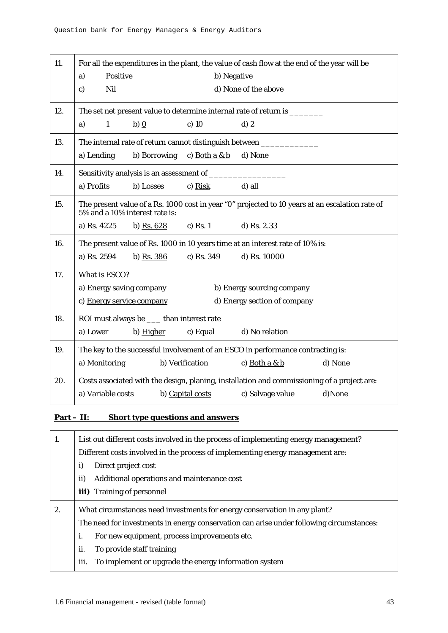| 11. | For all the expenditures in the plant, the value of cash flow at the end of the year will be                                      |                  |                              |         |
|-----|-----------------------------------------------------------------------------------------------------------------------------------|------------------|------------------------------|---------|
|     | Positive<br>a)                                                                                                                    | b) Negative      |                              |         |
|     | Nil<br>c)                                                                                                                         |                  | d) None of the above         |         |
| 12. | The set net present value to determine internal rate of return is ________                                                        |                  |                              |         |
|     | $\mathbf{1}$<br>b) $\Omega$<br>a)                                                                                                 | $c)$ 10          | $d)$ 2                       |         |
| 13. | The internal rate of return cannot distinguish between ____________                                                               |                  |                              |         |
|     | a) Lending<br>b) Borrowing                                                                                                        | c) Both a $& b$  | d) None                      |         |
| 14. |                                                                                                                                   |                  |                              |         |
|     | a) Profits<br>b) Losses                                                                                                           | $c)$ Risk        | d) all                       |         |
| 15. | The present value of a Rs. 1000 cost in year "0" projected to 10 years at an escalation rate of<br>5% and a 10% interest rate is: |                  |                              |         |
|     | a) Rs. 4225<br>b) Rs. $628$                                                                                                       | c) Rs. $1$       | d) Rs. 2.33                  |         |
| 16. | The present value of Rs. 1000 in 10 years time at an interest rate of 10% is:                                                     |                  |                              |         |
|     | a) Rs. 2594<br>b) Rs. 386                                                                                                         | c) Rs. 349       | d) Rs. 10000                 |         |
| 17. | What is ESCO?                                                                                                                     |                  |                              |         |
|     | a) Energy saving company                                                                                                          |                  | b) Energy sourcing company   |         |
|     | c) Energy service company                                                                                                         |                  | d) Energy section of company |         |
| 18. | ROI must always be _____ than interest rate                                                                                       |                  |                              |         |
|     | a) Lower<br>b) Higher                                                                                                             | c) Equal         | d) No relation               |         |
| 19. | The key to the successful involvement of an ESCO in performance contracting is:                                                   |                  |                              |         |
|     | a) Monitoring                                                                                                                     | b) Verification  | c) Both $a & b$              | d) None |
| 20. | Costs associated with the design, planing, installation and commissioning of a project are:                                       |                  |                              |         |
|     | a) Variable costs                                                                                                                 | b) Capital costs | c) Salvage value             | d)None  |

## **Part – II: Short type questions and answers**

| 1. | List out different costs involved in the process of implementing energy management?      |
|----|------------------------------------------------------------------------------------------|
|    | Different costs involved in the process of implementing energy management are:           |
|    | i)<br>Direct project cost                                                                |
|    | ii)<br>Additional operations and maintenance cost                                        |
|    | <b>iii)</b> Training of personnel                                                        |
| 2. | What circumstances need investments for energy conservation in any plant?                |
|    | The need for investments in energy conservation can arise under following circumstances: |
|    | i.<br>For new equipment, process improvements etc.                                       |
|    | ii.<br>To provide staff training                                                         |
|    | iii.<br>To implement or upgrade the energy information system                            |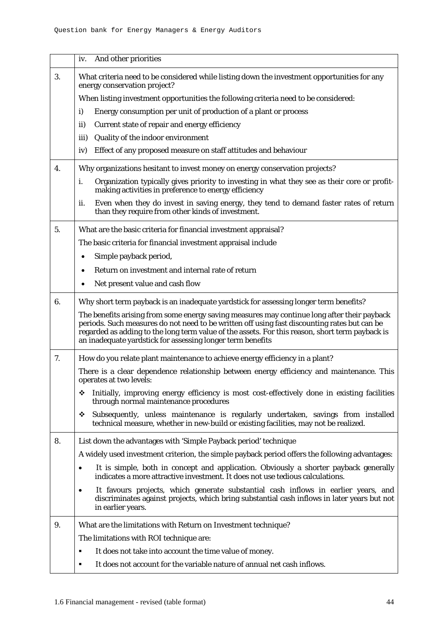|    | And other priorities<br>iv.                                                                                                                                                                                                                                                                                                                                  |
|----|--------------------------------------------------------------------------------------------------------------------------------------------------------------------------------------------------------------------------------------------------------------------------------------------------------------------------------------------------------------|
| 3. | What criteria need to be considered while listing down the investment opportunities for any<br>energy conservation project?                                                                                                                                                                                                                                  |
|    | When listing investment opportunities the following criteria need to be considered:                                                                                                                                                                                                                                                                          |
|    | Energy consumption per unit of production of a plant or process<br>i)                                                                                                                                                                                                                                                                                        |
|    | Current state of repair and energy efficiency<br>ii)                                                                                                                                                                                                                                                                                                         |
|    | Quality of the indoor environment<br>iii)                                                                                                                                                                                                                                                                                                                    |
|    | Effect of any proposed measure on staff attitudes and behaviour<br>iv)                                                                                                                                                                                                                                                                                       |
| 4. | Why organizations hesitant to invest money on energy conservation projects?                                                                                                                                                                                                                                                                                  |
|    | Organization typically gives priority to investing in what they see as their core or profit-<br>i.<br>making activities in preference to energy efficiency                                                                                                                                                                                                   |
|    | Even when they do invest in saving energy, they tend to demand faster rates of return<br>ii.<br>than they require from other kinds of investment.                                                                                                                                                                                                            |
| 5. | What are the basic criteria for financial investment appraisal?                                                                                                                                                                                                                                                                                              |
|    | The basic criteria for financial investment appraisal include                                                                                                                                                                                                                                                                                                |
|    | Simple payback period,                                                                                                                                                                                                                                                                                                                                       |
|    | Return on investment and internal rate of return<br>$\bullet$                                                                                                                                                                                                                                                                                                |
|    | Net present value and cash flow                                                                                                                                                                                                                                                                                                                              |
| 6. | Why short term payback is an inadequate yardstick for assessing longer term benefits?                                                                                                                                                                                                                                                                        |
|    | The benefits arising from some energy saving measures may continue long after their payback<br>periods. Such measures do not need to be written off using fast discounting rates but can be<br>regarded as adding to the long term value of the assets. For this reason, short term payback is<br>an inadequate yardstick for assessing longer term benefits |
| 7. | How do you relate plant maintenance to achieve energy efficiency in a plant?                                                                                                                                                                                                                                                                                 |
|    | There is a clear dependence relationship between energy efficiency and maintenance. This<br>operates at two levels:                                                                                                                                                                                                                                          |
|    | Initially, improving energy efficiency is most cost-effectively done in existing facilities<br>❖<br>through normal maintenance procedures                                                                                                                                                                                                                    |
|    | Subsequently, unless maintenance is regularly undertaken, savings from installed<br>❖<br>technical measure, whether in new-build or existing facilities, may not be realized.                                                                                                                                                                                |
| 8. | List down the advantages with 'Simple Payback period' technique                                                                                                                                                                                                                                                                                              |
|    | A widely used investment criterion, the simple payback period offers the following advantages:                                                                                                                                                                                                                                                               |
|    | It is simple, both in concept and application. Obviously a shorter payback generally<br>٠<br>indicates a more attractive investment. It does not use tedious calculations.                                                                                                                                                                                   |
|    | It favours projects, which generate substantial cash inflows in earlier years, and<br>$\bullet$<br>discriminates against projects, which bring substantial cash inflows in later years but not<br>in earlier years.                                                                                                                                          |
| 9. | What are the limitations with Return on Investment technique?                                                                                                                                                                                                                                                                                                |
|    | The limitations with ROI technique are:                                                                                                                                                                                                                                                                                                                      |
|    | It does not take into account the time value of money.<br>٠                                                                                                                                                                                                                                                                                                  |
|    | It does not account for the variable nature of annual net cash inflows.<br>٠                                                                                                                                                                                                                                                                                 |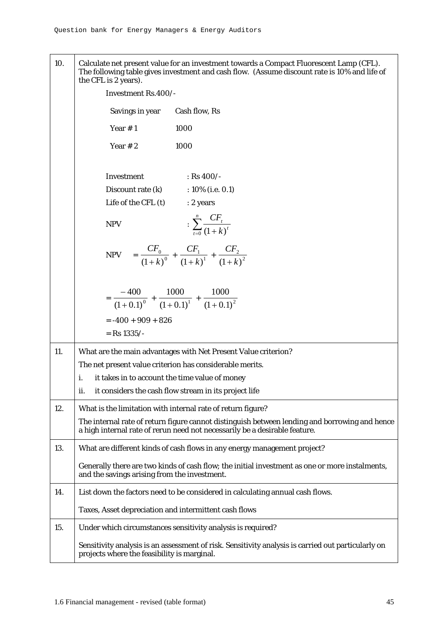10. Calculate net present value for an investment towards a Compact Fluorescent Lamp (CFL). The following table gives investment and cash flow. (Assume discount rate is 10% and life of the CFL is 2 years).

|     | $\mu$ . Under $\mu$ and $\mu$ and $\mu$ .             |                                                                                                                                                                             |
|-----|-------------------------------------------------------|-----------------------------------------------------------------------------------------------------------------------------------------------------------------------------|
|     | Investment Rs.400/-                                   |                                                                                                                                                                             |
|     | Savings in year                                       | Cash flow, Rs                                                                                                                                                               |
|     | Year $# 1$                                            | 1000                                                                                                                                                                        |
|     | Year $# 2$                                            | 1000                                                                                                                                                                        |
|     | Investment                                            | : Rs $400/-$                                                                                                                                                                |
|     | Discount rate (k)<br>Life of the CFL (t)              | $:10\%$ (i.e. 0.1)<br>: 2 years                                                                                                                                             |
|     |                                                       |                                                                                                                                                                             |
|     | <b>NPV</b>                                            | : $\sum_{t=0}^{n} \frac{CF_{t}}{(1+k)^{t}}$                                                                                                                                 |
|     |                                                       | NPV $=$ $\frac{CF_0}{(1+k)^0}$ + $\frac{CF_1}{(1+k)^1}$ + $\frac{CF_2}{(1+k)^2}$                                                                                            |
|     |                                                       | $= \frac{-400}{(1+0.1)^0} + \frac{1000}{(1+0.1)^1} + \frac{1000}{(1+0.1)^2}$                                                                                                |
|     | $= -400 + 909 + 826$                                  |                                                                                                                                                                             |
|     | $=$ Rs 1335/-                                         |                                                                                                                                                                             |
| 11. |                                                       | What are the main advantages with Net Present Value criterion?                                                                                                              |
|     |                                                       | The net present value criterion has considerable merits.                                                                                                                    |
|     | i.<br>it takes in to account the time value of money  |                                                                                                                                                                             |
|     | ii.                                                   | it considers the cash flow stream in its project life                                                                                                                       |
| 12. |                                                       | What is the limitation with internal rate of return figure?                                                                                                                 |
|     |                                                       | The internal rate of return figure cannot distinguish between lending and borrowing and hence<br>a high internal rate of rerun need not necessarily be a desirable feature. |
| 13. |                                                       | What are different kinds of cash flows in any energy management project?                                                                                                    |
|     | and the savings arising from the investment.          | Generally there are two kinds of cash flow; the initial investment as one or more instalments,                                                                              |
| 14. |                                                       | List down the factors need to be considered in calculating annual cash flows.                                                                                               |
|     | Taxes, Asset depreciation and intermittent cash flows |                                                                                                                                                                             |
| 15. |                                                       | Under which circumstances sensitivity analysis is required?                                                                                                                 |
|     | projects where the feasibility is marginal.           | Sensitivity analysis is an assessment of risk. Sensitivity analysis is carried out particularly on                                                                          |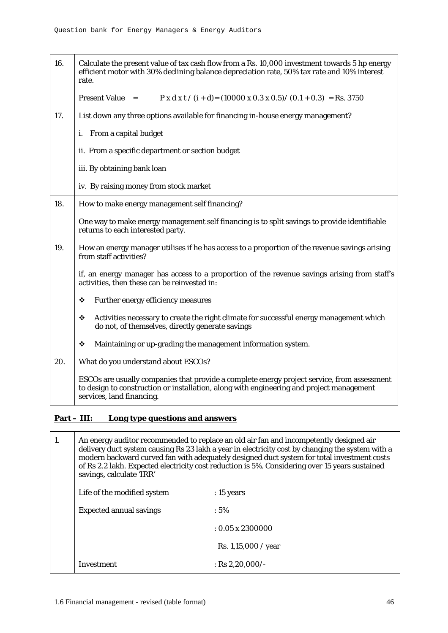| 16. | Calculate the present value of tax cash flow from a Rs. 10,000 investment towards 5 hp energy<br>efficient motor with 30% declining balance depreciation rate, 50% tax rate and 10% interest<br>rate.                |
|-----|----------------------------------------------------------------------------------------------------------------------------------------------------------------------------------------------------------------------|
|     | <b>Present Value</b> =<br>$P x d x t / (i + d) = (10000 x 0.3 x 0.5) / (0.1 + 0.3) = Rs. 3750$                                                                                                                       |
| 17. | List down any three options available for financing in-house energy management?                                                                                                                                      |
|     | From a capital budget<br>i.                                                                                                                                                                                          |
|     | ii. From a specific department or section budget                                                                                                                                                                     |
|     | iii. By obtaining bank loan                                                                                                                                                                                          |
|     | iv. By raising money from stock market                                                                                                                                                                               |
| 18. | How to make energy management self financing?                                                                                                                                                                        |
|     | One way to make energy management self financing is to split savings to provide identifiable<br>returns to each interested party.                                                                                    |
| 19. | How an energy manager utilises if he has access to a proportion of the revenue savings arising<br>from staff activities?                                                                                             |
|     | if, an energy manager has access to a proportion of the revenue savings arising from staff's<br>activities, then these can be reinvested in:                                                                         |
|     | ❖<br>Further energy efficiency measures                                                                                                                                                                              |
|     | Activities necessary to create the right climate for successful energy management which<br>❖<br>do not, of themselves, directly generate savings                                                                     |
|     | Maintaining or up-grading the management information system.<br>❖                                                                                                                                                    |
| 20. | What do you understand about ESCOs?                                                                                                                                                                                  |
|     | ESCOs are usually companies that provide a complete energy project service, from assessment<br>to design to construction or installation, along with engineering and project management<br>services, land financing. |

## **Part – III: Long type questions and answers**

| 1. | savings, calculate 'IRR'       | An energy auditor recommended to replace an old air fan and incompetently designed air<br>delivery duct system causing Rs 23 lakh a year in electricity cost by changing the system with a<br>modern backward curved fan with adequately designed duct system for total investment costs<br>of Rs 2.2 lakh. Expected electricity cost reduction is 5%. Considering over 15 years sustained |
|----|--------------------------------|--------------------------------------------------------------------------------------------------------------------------------------------------------------------------------------------------------------------------------------------------------------------------------------------------------------------------------------------------------------------------------------------|
|    | Life of the modified system    | $: 15$ years                                                                                                                                                                                                                                                                                                                                                                               |
|    | <b>Expected annual savings</b> | $:5\%$                                                                                                                                                                                                                                                                                                                                                                                     |
|    |                                | $: 0.05 \times 2300000$                                                                                                                                                                                                                                                                                                                                                                    |
|    |                                | Rs. $1,15,000 / year$                                                                                                                                                                                                                                                                                                                                                                      |
|    | Investment                     | : Rs 2,20,000/-                                                                                                                                                                                                                                                                                                                                                                            |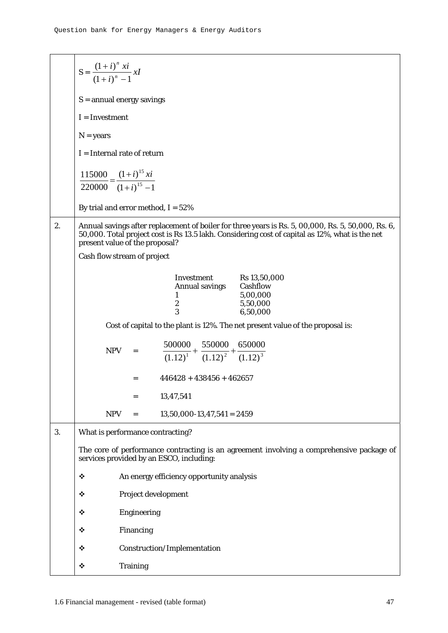|    | $S = \frac{(1+i)^n xi}{(1+i)^n - 1}xI$                                                                                                                                                                                                  |
|----|-----------------------------------------------------------------------------------------------------------------------------------------------------------------------------------------------------------------------------------------|
|    | $S =$ annual energy savings                                                                                                                                                                                                             |
|    | $I = Investment$                                                                                                                                                                                                                        |
|    | $N = years$                                                                                                                                                                                                                             |
|    | $I = Internal$ rate of return                                                                                                                                                                                                           |
|    | $\frac{115000}{220000} = \frac{(1+i)^{15}xi}{(1+i)^{15} - 1}$                                                                                                                                                                           |
|    | By trial and error method, $I = 52\%$                                                                                                                                                                                                   |
| 2. | Annual savings after replacement of boiler for three years is Rs. 5, 00,000, Rs. 5, 50,000, Rs. 6,<br>50,000. Total project cost is Rs 13.5 lakh. Considering cost of capital as 12%, what is the net<br>present value of the proposal? |
|    | Cash flow stream of project                                                                                                                                                                                                             |
|    | Investment Rs 13,50,000<br>Annual savings Cashflow<br>5,00,000<br>1<br>$\boldsymbol{2}$<br>5,50,000<br>3<br>6,50,000                                                                                                                    |
|    | Cost of capital to the plant is 12%. The net present value of the proposal is:                                                                                                                                                          |
|    | $\frac{500000}{(1.12)^1} + \frac{550000}{(1.12)^2} + \frac{650000}{(1.12)^3}$<br>$NPV =$                                                                                                                                                |
|    | $446428 + 438456 + 462657$<br>$=$                                                                                                                                                                                                       |
|    | 13,47,541<br>$=$                                                                                                                                                                                                                        |
|    | <b>NPV</b><br>$13,50,000-13,47,541 = 2459$<br>$=$                                                                                                                                                                                       |
| 3. | What is performance contracting?                                                                                                                                                                                                        |
|    | The core of performance contracting is an agreement involving a comprehensive package of<br>services provided by an ESCO, including:                                                                                                    |
|    | An energy efficiency opportunity analysis<br>❖                                                                                                                                                                                          |
|    | Project development<br>❖                                                                                                                                                                                                                |
|    | ❖<br><b>Engineering</b>                                                                                                                                                                                                                 |
|    | Financing<br>❖                                                                                                                                                                                                                          |
|    | Construction/Implementation<br>❖                                                                                                                                                                                                        |
|    | ❖<br><b>Training</b>                                                                                                                                                                                                                    |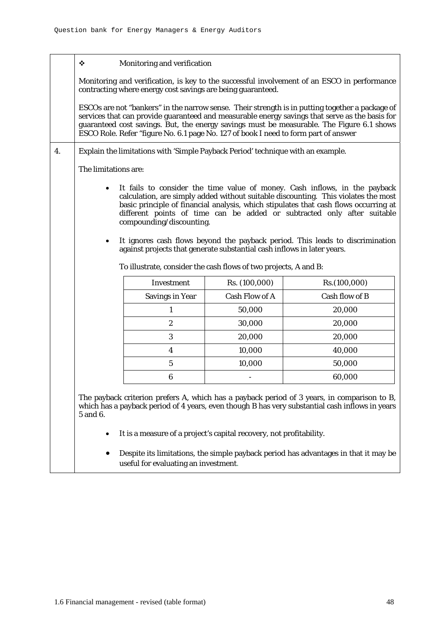|    | ❖                    | Monitoring and verification                                                                         |                |                                                                                                                                                                                                                                                                                                                                                                                                                      |
|----|----------------------|-----------------------------------------------------------------------------------------------------|----------------|----------------------------------------------------------------------------------------------------------------------------------------------------------------------------------------------------------------------------------------------------------------------------------------------------------------------------------------------------------------------------------------------------------------------|
|    |                      | contracting where energy cost savings are being guaranteed.                                         |                | Monitoring and verification, is key to the successful involvement of an ESCO in performance                                                                                                                                                                                                                                                                                                                          |
|    |                      | ESCO Role. Refer "figure No. 6.1 page No. 127 of book I need to form part of answer                 |                | ESCOs are not "bankers" in the narrow sense. Their strength is in putting together a package of<br>services that can provide guaranteed and measurable energy savings that serve as the basis for<br>guaranteed cost savings. But, the energy savings must be measurable. The Figure 6.1 shows                                                                                                                       |
| 4. |                      | Explain the limitations with 'Simple Payback Period' technique with an example.                     |                |                                                                                                                                                                                                                                                                                                                                                                                                                      |
|    | The limitations are: |                                                                                                     |                |                                                                                                                                                                                                                                                                                                                                                                                                                      |
|    | ٠<br>٠               | compounding/discounting.<br>against projects that generate substantial cash inflows in later years. |                | It fails to consider the time value of money. Cash inflows, in the payback<br>calculation, are simply added without suitable discounting. This violates the most<br>basic principle of financial analysis, which stipulates that cash flows occurring at<br>different points of time can be added or subtracted only after suitable<br>It ignores cash flows beyond the payback period. This leads to discrimination |
|    |                      | To illustrate, consider the cash flows of two projects, A and B:                                    |                |                                                                                                                                                                                                                                                                                                                                                                                                                      |
|    |                      | Investment                                                                                          | Rs. (100,000)  | Rs. (100,000)                                                                                                                                                                                                                                                                                                                                                                                                        |
|    |                      | <b>Savings in Year</b>                                                                              | Cash Flow of A | Cash flow of B                                                                                                                                                                                                                                                                                                                                                                                                       |
|    |                      | 1                                                                                                   | 50,000         | 20,000                                                                                                                                                                                                                                                                                                                                                                                                               |
|    |                      | $\boldsymbol{2}$                                                                                    | 30,000         | 20,000                                                                                                                                                                                                                                                                                                                                                                                                               |
|    |                      | 3                                                                                                   | 20,000         | 20,000                                                                                                                                                                                                                                                                                                                                                                                                               |
|    |                      | $\boldsymbol{4}$                                                                                    | 10,000         | 40,000                                                                                                                                                                                                                                                                                                                                                                                                               |
|    |                      | 5                                                                                                   | 10,000         | 50,000                                                                                                                                                                                                                                                                                                                                                                                                               |
|    |                      | 6                                                                                                   |                | 60,000                                                                                                                                                                                                                                                                                                                                                                                                               |
|    | 5 and 6.             |                                                                                                     |                | The payback criterion prefers A, which has a payback period of 3 years, in comparison to B,<br>which has a payback period of 4 years, even though B has very substantial cash inflows in years                                                                                                                                                                                                                       |
|    | ٠                    | It is a measure of a project's capital recovery, not profitability.                                 |                |                                                                                                                                                                                                                                                                                                                                                                                                                      |
|    | ٠                    | useful for evaluating an investment.                                                                |                | Despite its limitations, the simple payback period has advantages in that it may be                                                                                                                                                                                                                                                                                                                                  |